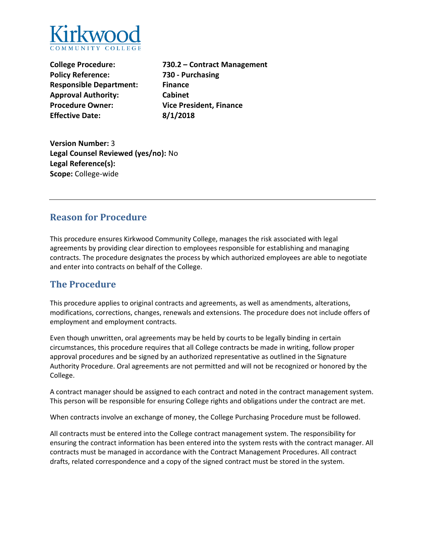

**College Procedure: Policy Reference: Responsible Department: Finance Approval Authority: Cabinet Procedure Owner: Vice President, Finance Effective Date: 8/1/2018**

**730.2 – Contract Management 730 - Purchasing**

**Version Number:** 3 **Legal Counsel Reviewed (yes/no):** No **Legal Reference(s): Scope:** College-wide

## **Reason for Procedure**

This procedure ensures Kirkwood Community College, manages the risk associated with legal agreements by providing clear direction to employees responsible for establishing and managing contracts. The procedure designates the process by which authorized employees are able to negotiate and enter into contracts on behalf of the College.

## **The Procedure**

This procedure applies to original contracts and agreements, as well as amendments, alterations, modifications, corrections, changes, renewals and extensions. The procedure does not include offers of employment and employment contracts.

Even though unwritten, oral agreements may be held by courts to be legally binding in certain circumstances, this procedure requires that all College contracts be made in writing, follow proper approval procedures and be signed by an authorized representative as outlined in the Signature Authority Procedure. Oral agreements are not permitted and will not be recognized or honored by the College.

A contract manager should be assigned to each contract and noted in the contract management system. This person will be responsible for ensuring College rights and obligations under the contract are met.

When contracts involve an exchange of money, the College Purchasing Procedure must be followed.

All contracts must be entered into the College contract management system. The responsibility for ensuring the contract information has been entered into the system rests with the contract manager. All contracts must be managed in accordance with the Contract Management Procedures. All contract drafts, related correspondence and a copy of the signed contract must be stored in the system.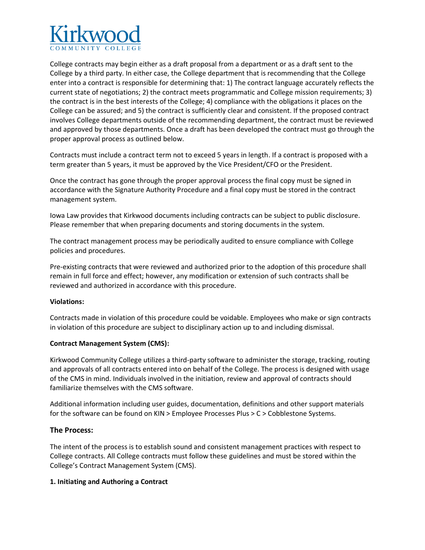

College contracts may begin either as a draft proposal from a department or as a draft sent to the College by a third party. In either case, the College department that is recommending that the College enter into a contract is responsible for determining that: 1) The contract language accurately reflects the current state of negotiations; 2) the contract meets programmatic and College mission requirements; 3) the contract is in the best interests of the College; 4) compliance with the obligations it places on the College can be assured; and 5) the contract is sufficiently clear and consistent. If the proposed contract involves College departments outside of the recommending department, the contract must be reviewed and approved by those departments. Once a draft has been developed the contract must go through the proper approval process as outlined below.

Contracts must include a contract term not to exceed 5 years in length. If a contract is proposed with a term greater than 5 years, it must be approved by the Vice President/CFO or the President.

Once the contract has gone through the proper approval process the final copy must be signed in accordance with the Signature Authority Procedure and a final copy must be stored in the contract management system.

Iowa Law provides that Kirkwood documents including contracts can be subject to public disclosure. Please remember that when preparing documents and storing documents in the system.

The contract management process may be periodically audited to ensure compliance with College policies and procedures.

Pre-existing contracts that were reviewed and authorized prior to the adoption of this procedure shall remain in full force and effect; however, any modification or extension of such contracts shall be reviewed and authorized in accordance with this procedure.

#### **Violations:**

Contracts made in violation of this procedure could be voidable. Employees who make or sign contracts in violation of this procedure are subject to disciplinary action up to and including dismissal.

#### **Contract Management System (CMS):**

Kirkwood Community College utilizes a third-party software to administer the storage, tracking, routing and approvals of all contracts entered into on behalf of the College. The process is designed with usage of the CMS in mind. Individuals involved in the initiation, review and approval of contracts should familiarize themselves with the CMS software.

Additional information including user guides, documentation, definitions and other support materials for the software can be found on KIN > Employee Processes Plus > C > Cobblestone Systems.

#### **The Process:**

The intent of the process is to establish sound and consistent management practices with respect to College contracts. All College contracts must follow these guidelines and must be stored within the College's Contract Management System (CMS).

#### **1. Initiating and Authoring a Contract**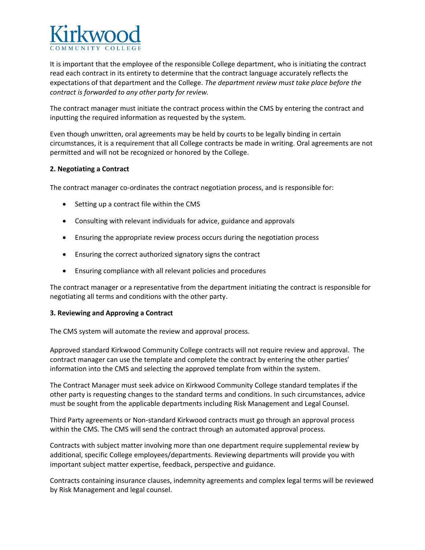

It is important that the employee of the responsible College department, who is initiating the contract read each contract in its entirety to determine that the contract language accurately reflects the expectations of that department and the College. *The department review must take place before the contract is forwarded to any other party for review.*

The contract manager must initiate the contract process within the CMS by entering the contract and inputting the required information as requested by the system.

Even though unwritten, oral agreements may be held by courts to be legally binding in certain circumstances, it is a requirement that all College contracts be made in writing. Oral agreements are not permitted and will not be recognized or honored by the College.

#### **2. Negotiating a Contract**

The contract manager co-ordinates the contract negotiation process, and is responsible for:

- Setting up a contract file within the CMS
- Consulting with relevant individuals for advice, guidance and approvals
- Ensuring the appropriate review process occurs during the negotiation process
- Ensuring the correct authorized signatory signs the contract
- Ensuring compliance with all relevant policies and procedures

The contract manager or a representative from the department initiating the contract is responsible for negotiating all terms and conditions with the other party.

#### **3. Reviewing and Approving a Contract**

The CMS system will automate the review and approval process.

Approved standard Kirkwood Community College contracts will not require review and approval. The contract manager can use the template and complete the contract by entering the other parties' information into the CMS and selecting the approved template from within the system.

The Contract Manager must seek advice on Kirkwood Community College standard templates if the other party is requesting changes to the standard terms and conditions. In such circumstances, advice must be sought from the applicable departments including Risk Management and Legal Counsel.

Third Party agreements or Non-standard Kirkwood contracts must go through an approval process within the CMS. The CMS will send the contract through an automated approval process.

Contracts with subject matter involving more than one department require supplemental review by additional, specific College employees/departments. Reviewing departments will provide you with important subject matter expertise, feedback, perspective and guidance.

Contracts containing insurance clauses, indemnity agreements and complex legal terms will be reviewed by Risk Management and legal counsel.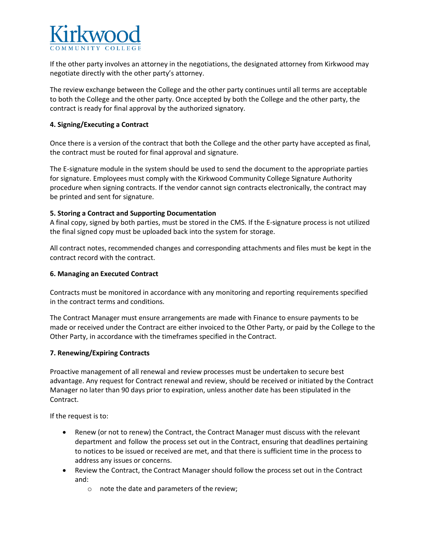

If the other party involves an attorney in the negotiations, the designated attorney from Kirkwood may negotiate directly with the other party's attorney.

The review exchange between the College and the other party continues until all terms are acceptable to both the College and the other party. Once accepted by both the College and the other party, the contract is ready for final approval by the authorized signatory.

#### **4. Signing/Executing a Contract**

Once there is a version of the contract that both the College and the other party have accepted as final, the contract must be routed for final approval and signature.

The E-signature module in the system should be used to send the document to the appropriate parties for signature. Employees must comply with the Kirkwood Community College Signature Authority procedure when signing contracts. If the vendor cannot sign contracts electronically, the contract may be printed and sent for signature.

#### **5. Storing a Contract and Supporting Documentation**

A final copy, signed by both parties, must be stored in the CMS. If the E-signature process is not utilized the final signed copy must be uploaded back into the system for storage.

All contract notes, recommended changes and corresponding attachments and files must be kept in the contract record with the contract.

### **6. Managing an Executed Contract**

Contracts must be monitored in accordance with any monitoring and reporting requirements specified in the contract terms and conditions.

The Contract Manager must ensure arrangements are made with Finance to ensure payments to be made or received under the Contract are either invoiced to the Other Party, or paid by the College to the Other Party, in accordance with the timeframes specified in the Contract.

#### **7. Renewing/Expiring Contracts**

Proactive management of all renewal and review processes must be undertaken to secure best advantage. Any request for Contract renewal and review, should be received or initiated by the Contract Manager no later than 90 days prior to expiration, unless another date has been stipulated in the Contract.

If the request is to:

- Renew (or not to renew) the Contract, the Contract Manager must discuss with the relevant department and follow the process set out in the Contract, ensuring that deadlines pertaining to notices to be issued or received are met, and that there is sufficient time in the process to address any issues or concerns.
- Review the Contract, the Contract Manager should follow the process set out in the Contract and:
	- o note the date and parameters of the review;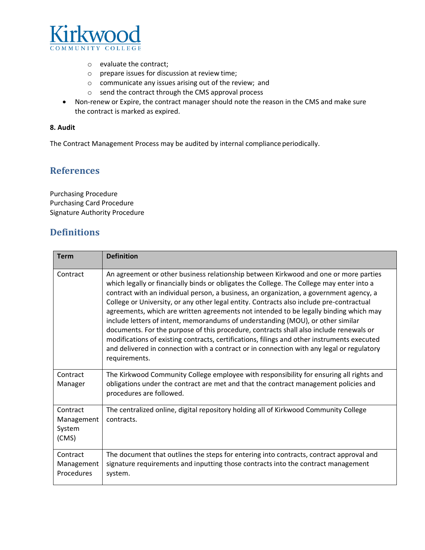

- o evaluate the contract;
- o prepare issues for discussion at review time;
- o communicate any issues arising out of the review; and
- o send the contract through the CMS approval process
- Non-renew or Expire, the contract manager should note the reason in the CMS and make sure the contract is marked as expired.

#### **8. Audit**

The Contract Management Process may be audited by internal compliance periodically.

## **References**

Purchasing Procedure Purchasing Card Procedure Signature Authority Procedure

## **Definitions**

| <b>Term</b>                               | <b>Definition</b>                                                                                                                                                                                                                                                                                                                                                                                                                                                                                                                                                                                                                                                                                                                                                                                                                                           |  |
|-------------------------------------------|-------------------------------------------------------------------------------------------------------------------------------------------------------------------------------------------------------------------------------------------------------------------------------------------------------------------------------------------------------------------------------------------------------------------------------------------------------------------------------------------------------------------------------------------------------------------------------------------------------------------------------------------------------------------------------------------------------------------------------------------------------------------------------------------------------------------------------------------------------------|--|
| Contract                                  | An agreement or other business relationship between Kirkwood and one or more parties<br>which legally or financially binds or obligates the College. The College may enter into a<br>contract with an individual person, a business, an organization, a government agency, a<br>College or University, or any other legal entity. Contracts also include pre-contractual<br>agreements, which are written agreements not intended to be legally binding which may<br>include letters of intent, memorandums of understanding (MOU), or other similar<br>documents. For the purpose of this procedure, contracts shall also include renewals or<br>modifications of existing contracts, certifications, filings and other instruments executed<br>and delivered in connection with a contract or in connection with any legal or regulatory<br>requirements. |  |
| Contract<br>Manager                       | The Kirkwood Community College employee with responsibility for ensuring all rights and<br>obligations under the contract are met and that the contract management policies and<br>procedures are followed.                                                                                                                                                                                                                                                                                                                                                                                                                                                                                                                                                                                                                                                 |  |
| Contract<br>Management<br>System<br>(CMS) | The centralized online, digital repository holding all of Kirkwood Community College<br>contracts.                                                                                                                                                                                                                                                                                                                                                                                                                                                                                                                                                                                                                                                                                                                                                          |  |
| Contract<br>Management<br>Procedures      | The document that outlines the steps for entering into contracts, contract approval and<br>signature requirements and inputting those contracts into the contract management<br>system.                                                                                                                                                                                                                                                                                                                                                                                                                                                                                                                                                                                                                                                                     |  |